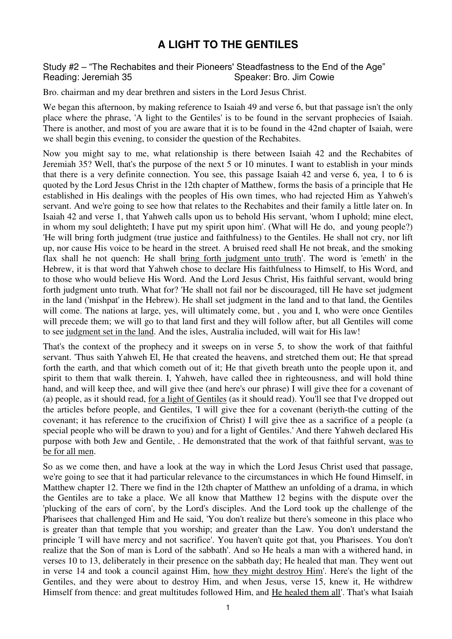## **A LIGHT TO THE GENTILES**

## Study #2 – "The Rechabites and their Pioneers' Steadfastness to the End of the Age" Speaker: Bro. Jim Cowie

Bro. chairman and my dear brethren and sisters in the Lord Jesus Christ.

We began this afternoon, by making reference to Isaiah 49 and verse 6, but that passage isn't the only place where the phrase, 'A light to the Gentiles' is to be found in the servant prophecies of Isaiah. There is another, and most of you are aware that it is to be found in the 42nd chapter of Isaiah, were we shall begin this evening, to consider the question of the Rechabites.

Now you might say to me, what relationship is there between Isaiah 42 and the Rechabites of Jeremiah 35? Well, that's the purpose of the next 5 or 10 minutes. I want to establish in your minds that there is a very definite connection. You see, this passage Isaiah 42 and verse 6, yea, 1 to 6 is quoted by the Lord Jesus Christ in the 12th chapter of Matthew, forms the basis of a principle that He established in His dealings with the peoples of His own times, who had rejected Him as Yahweh's servant. And we're going to see how that relates to the Rechabites and their family a little later on. In Isaiah 42 and verse 1, that Yahweh calls upon us to behold His servant, 'whom I uphold; mine elect, in whom my soul delighteth; I have put my spirit upon him'. (What will He do, and young people?) 'He will bring forth judgment (true justice and faithfulness) to the Gentiles. He shall not cry, nor lift up, nor cause His voice to be heard in the street. A bruised reed shall He not break, and the smoking flax shall he not quench: He shall bring forth judgment unto truth'. The word is 'emeth' in the Hebrew, it is that word that Yahweh chose to declare His faithfulness to Himself, to His Word, and to those who would believe His Word. And the Lord Jesus Christ, His faithful servant, would bring forth judgment unto truth. What for? 'He shall not fail nor be discouraged, till He have set judgment in the land ('mishpat' in the Hebrew). He shall set judgment in the land and to that land, the Gentiles will come. The nations at large, yes, will ultimately come, but, you and I, who were once Gentiles will precede them; we will go to that land first and they will follow after, but all Gentiles will come to see judgment set in the land. And the isles, Australia included, will wait for His law!

That's the context of the prophecy and it sweeps on in verse 5, to show the work of that faithful servant. 'Thus saith Yahweh El, He that created the heavens, and stretched them out; He that spread forth the earth, and that which cometh out of it; He that giveth breath unto the people upon it, and spirit to them that walk therein. I, Yahweh, have called thee in righteousness, and will hold thine hand, and will keep thee, and will give thee (and here's our phrase) I will give thee for a covenant of (a) people, as it should read, for a light of Gentiles (as it should read). You'll see that I've dropped out the articles before people, and Gentiles, 'I will give thee for a covenant (beriyth-the cutting of the covenant; it has reference to the crucifixion of Christ) I will give thee as a sacrifice of a people (a special people who will be drawn to you) and for a light of Gentiles.' And there Yahweh declared His purpose with both Jew and Gentile, . He demonstrated that the work of that faithful servant, was to be for all men.

So as we come then, and have a look at the way in which the Lord Jesus Christ used that passage, we're going to see that it had particular relevance to the circumstances in which He found Himself, in Matthew chapter 12. There we find in the 12th chapter of Matthew an unfolding of a drama, in which the Gentiles are to take a place. We all know that Matthew 12 begins with the dispute over the 'plucking of the ears of corn', by the Lord's disciples. And the Lord took up the challenge of the Pharisees that challenged Him and He said, 'You don't realize but there's someone in this place who is greater than that temple that you worship; and greater than the Law. You don't understand the principle 'I will have mercy and not sacrifice'. You haven't quite got that, you Pharisees. You don't realize that the Son of man is Lord of the sabbath'. And so He heals a man with a withered hand, in verses 10 to 13, deliberately in their presence on the sabbath day; He healed that man. They went out in verse 14 and took a council against Him, how they might destroy Him'. Here's the light of the Gentiles, and they were about to destroy Him, and when Jesus, verse 15, knew it, He withdrew Himself from thence: and great multitudes followed Him, and He healed them all'. That's what Isaiah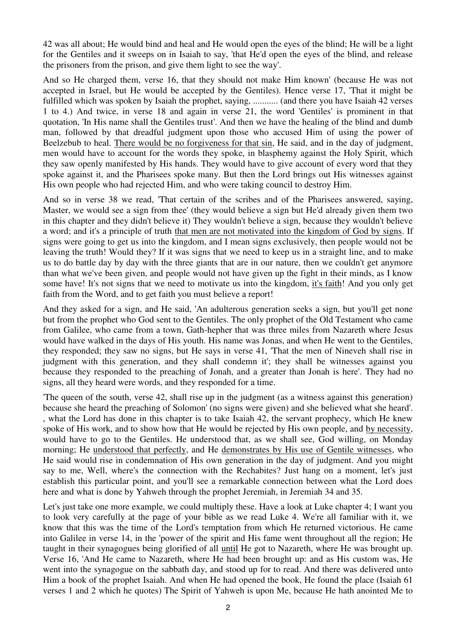42 was all about; He would bind and heal and He would open the eyes of the blind; He will be a light for the Gentiles and it sweeps on in Isaiah to say, 'that He'd open the eyes of the blind, and release the prisoners from the prison, and give them light to see the way'.

And so He charged them, verse 16, that they should not make Him known' (because He was not accepted in Israel, but He would be accepted by the Gentiles). Hence verse 17, 'That it might be fulfilled which was spoken by Isaiah the prophet, saying, ........... (and there you have Isaiah 42 verses 1 to 4.) And twice, in verse 18 and again in verse 21, the word 'Gentiles' is prominent in that quotation, 'In His name shall the Gentiles trust'. And then we have the healing of the blind and dumb man, followed by that dreadful judgment upon those who accused Him of using the power of Beelzebub to heal. There would be no forgiveness for that sin, He said, and in the day of judgment, men would have to account for the words they spoke, in blasphemy against the Holy Spirit, which they saw openly manifested by His hands. They would have to give account of every word that they spoke against it, and the Pharisees spoke many. But then the Lord brings out His witnesses against His own people who had rejected Him, and who were taking council to destroy Him.

And so in verse 38 we read, 'That certain of the scribes and of the Pharisees answered, saying, Master, we would see a sign from thee' (they would believe a sign but He'd already given them two in this chapter and they didn't believe it) They wouldn't believe a sign, because they wouldn't believe a word; and it's a principle of truth that men are not motivated into the kingdom of God by signs. If signs were going to get us into the kingdom, and I mean signs exclusively, then people would not be leaving the truth! Would they? If it was signs that we need to keep us in a straight line, and to make us to do battle day by day with the three giants that are in our nature, then we couldn't get anymore than what we've been given, and people would not have given up the fight in their minds, as I know some have! It's not signs that we need to motivate us into the kingdom, it's faith! And you only get faith from the Word, and to get faith you must believe a report!

And they asked for a sign, and He said, 'An adulterous generation seeks a sign, but you'll get none but from the prophet who God sent to the Gentiles. The only prophet of the Old Testament who came from Galilee, who came from a town, Gath-hepher that was three miles from Nazareth where Jesus would have walked in the days of His youth. His name was Jonas, and when He went to the Gentiles, they responded; they saw no signs, but He says in verse 41, 'That the men of Nineveh shall rise in judgment with this generation, and they shall condemn it'; they shall be witnesses against you because they responded to the preaching of Jonah, and a greater than Jonah is here'. They had no signs, all they heard were words, and they responded for a time.

'The queen of the south, verse 42, shall rise up in the judgment (as a witness against this generation) because she heard the preaching of Solomon' (no signs were given) and she believed what she heard'. , what the Lord has done in this chapter is to take Isaiah 42, the servant prophecy, which He knew spoke of His work, and to show how that He would be rejected by His own people, and by necessity, would have to go to the Gentiles. He understood that, as we shall see, God willing, on Monday morning; He understood that perfectly, and He demonstrates by His use of Gentile witnesses, who He said would rise in condemnation of His own generation in the day of judgment. And you might say to me, Well, where's the connection with the Rechabites? Just hang on a moment, let's just establish this particular point, and you'll see a remarkable connection between what the Lord does here and what is done by Yahweh through the prophet Jeremiah, in Jeremiah 34 and 35.

Let's just take one more example, we could multiply these. Have a look at Luke chapter 4; I want you to look very carefully at the page of your bible as we read Luke 4. We're all familiar with it, we know that this was the time of the Lord's temptation from which He returned victorious. He came into Galilee in verse 14, in the 'power of the spirit and His fame went throughout all the region; He taught in their synagogues being glorified of all until He got to Nazareth, where He was brought up. Verse 16, 'And He came to Nazareth, where He had been brought up: and as His custom was, He went into the synagogue on the sabbath day, and stood up for to read. And there was delivered unto Him a book of the prophet Isaiah. And when He had opened the book, He found the place (Isaiah 61 verses 1 and 2 which he quotes) The Spirit of Yahweh is upon Me, because He hath anointed Me to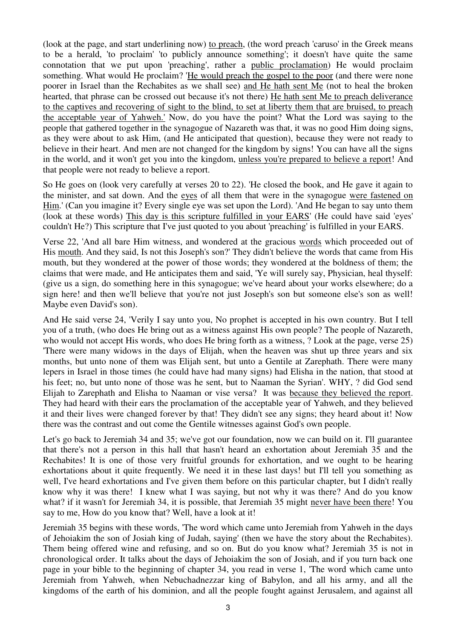(look at the page, and start underlining now) to preach, (the word preach 'caruso' in the Greek means to be a herald, 'to proclaim' 'to publicly announce something'; it doesn't have quite the same connotation that we put upon 'preaching', rather a public proclamation) He would proclaim something. What would He proclaim? 'He would preach the gospel to the poor (and there were none poorer in Israel than the Rechabites as we shall see) and He hath sent Me (not to heal the broken hearted, that phrase can be crossed out because it's not there) He hath sent Me to preach deliverance to the captives and recovering of sight to the blind, to set at liberty them that are bruised, to preach the acceptable year of Yahweh.' Now, do you have the point? What the Lord was saying to the people that gathered together in the synagogue of Nazareth was that, it was no good Him doing signs, as they were about to ask Him, (and He anticipated that question), because they were not ready to believe in their heart. And men are not changed for the kingdom by signs! You can have all the signs in the world, and it won't get you into the kingdom, unless you're prepared to believe a report! And that people were not ready to believe a report.

So He goes on (look very carefully at verses 20 to 22). 'He closed the book, and He gave it again to the minister, and sat down. And the eyes of all them that were in the synagogue were fastened on Him.' (Can you imagine it? Every single eye was set upon the Lord). 'And He began to say unto them (look at these words) This day is this scripture fulfilled in your EARS' (He could have said 'eyes' couldn't He?) This scripture that I've just quoted to you about 'preaching' is fulfilled in your EARS.

Verse 22, 'And all bare Him witness, and wondered at the gracious words which proceeded out of His mouth. And they said, Is not this Joseph's son?' They didn't believe the words that came from His mouth, but they wondered at the power of those words; they wondered at the boldness of them; the claims that were made, and He anticipates them and said, 'Ye will surely say, Physician, heal thyself: (give us a sign, do something here in this synagogue; we've heard about your works elsewhere; do a sign here! and then we'll believe that you're not just Joseph's son but someone else's son as well! Maybe even David's son).

And He said verse 24, 'Verily I say unto you, No prophet is accepted in his own country. But I tell you of a truth, (who does He bring out as a witness against His own people? The people of Nazareth, who would not accept His words, who does He bring forth as a witness, ? Look at the page, verse 25) 'There were many widows in the days of Elijah, when the heaven was shut up three years and six months, but unto none of them was Elijah sent, but unto a Gentile at Zarephath. There were many lepers in Israel in those times (he could have had many signs) had Elisha in the nation, that stood at his feet; no, but unto none of those was he sent, but to Naaman the Syrian'. WHY, ? did God send Elijah to Zarephath and Elisha to Naaman or vise versa? It was because they believed the report. They had heard with their ears the proclamation of the acceptable year of Yahweh, and they believed it and their lives were changed forever by that! They didn't see any signs; they heard about it! Now there was the contrast and out come the Gentile witnesses against God's own people.

Let's go back to Jeremiah 34 and 35; we've got our foundation, now we can build on it. I'll guarantee that there's not a person in this hall that hasn't heard an exhortation about Jeremiah 35 and the Rechabites! It is one of those very fruitful grounds for exhortation, and we ought to be hearing exhortations about it quite frequently. We need it in these last days! but I'll tell you something as well, I've heard exhortations and I've given them before on this particular chapter, but I didn't really know why it was there! I knew what I was saying, but not why it was there? And do you know what? if it wasn't for Jeremiah 34, it is possible, that Jeremiah 35 might never have been there! You say to me, How do you know that? Well, have a look at it!

Jeremiah 35 begins with these words, 'The word which came unto Jeremiah from Yahweh in the days of Jehoiakim the son of Josiah king of Judah, saying' (then we have the story about the Rechabites). Them being offered wine and refusing, and so on. But do you know what? Jeremiah 35 is not in chronological order. It talks about the days of Jehoiakim the son of Josiah, and if you turn back one page in your bible to the beginning of chapter 34, you read in verse 1, 'The word which came unto Jeremiah from Yahweh, when Nebuchadnezzar king of Babylon, and all his army, and all the kingdoms of the earth of his dominion, and all the people fought against Jerusalem, and against all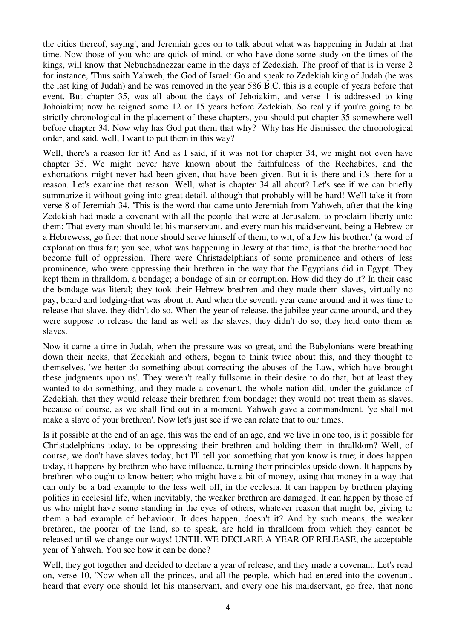the cities thereof, saying', and Jeremiah goes on to talk about what was happening in Judah at that time. Now those of you who are quick of mind, or who have done some study on the times of the kings, will know that Nebuchadnezzar came in the days of Zedekiah. The proof of that is in verse 2 for instance, 'Thus saith Yahweh, the God of Israel: Go and speak to Zedekiah king of Judah (he was the last king of Judah) and he was removed in the year 586 B.C. this is a couple of years before that event. But chapter 35, was all about the days of Jehoiakim, and verse 1 is addressed to king Johoiakim; now he reigned some 12 or 15 years before Zedekiah. So really if you're going to be strictly chronological in the placement of these chapters, you should put chapter 35 somewhere well before chapter 34. Now why has God put them that why? Why has He dismissed the chronological order, and said, well, I want to put them in this way?

Well, there's a reason for it! And as I said, if it was not for chapter 34, we might not even have chapter 35. We might never have known about the faithfulness of the Rechabites, and the exhortations might never had been given, that have been given. But it is there and it's there for a reason. Let's examine that reason. Well, what is chapter 34 all about? Let's see if we can briefly summarize it without going into great detail, although that probably will be hard! We'll take it from verse 8 of Jeremiah 34. 'This is the word that came unto Jeremiah from Yahweh, after that the king Zedekiah had made a covenant with all the people that were at Jerusalem, to proclaim liberty unto them; That every man should let his manservant, and every man his maidservant, being a Hebrew or a Hebrewess, go free; that none should serve himself of them, to wit, of a Jew his brother.' (a word of explanation thus far; you see, what was happening in Jewry at that time, is that the brotherhood had become full of oppression. There were Christadelphians of some prominence and others of less prominence, who were oppressing their brethren in the way that the Egyptians did in Egypt. They kept them in thralldom, a bondage; a bondage of sin or corruption. How did they do it? In their case the bondage was literal; they took their Hebrew brethren and they made them slaves, virtually no pay, board and lodging-that was about it. And when the seventh year came around and it was time to release that slave, they didn't do so. When the year of release, the jubilee year came around, and they were suppose to release the land as well as the slaves, they didn't do so; they held onto them as slaves.

Now it came a time in Judah, when the pressure was so great, and the Babylonians were breathing down their necks, that Zedekiah and others, began to think twice about this, and they thought to themselves, 'we better do something about correcting the abuses of the Law, which have brought these judgments upon us'. They weren't really fullsome in their desire to do that, but at least they wanted to do something, and they made a covenant, the whole nation did, under the guidance of Zedekiah, that they would release their brethren from bondage; they would not treat them as slaves, because of course, as we shall find out in a moment, Yahweh gave a commandment, 'ye shall not make a slave of your brethren'. Now let's just see if we can relate that to our times.

Is it possible at the end of an age, this was the end of an age, and we live in one too, is it possible for Christadelphians today, to be oppressing their brethren and holding them in thralldom? Well, of course, we don't have slaves today, but I'll tell you something that you know is true; it does happen today, it happens by brethren who have influence, turning their principles upside down. It happens by brethren who ought to know better; who might have a bit of money, using that money in a way that can only be a bad example to the less well off, in the ecclesia. It can happen by brethren playing politics in ecclesial life, when inevitably, the weaker brethren are damaged. It can happen by those of us who might have some standing in the eyes of others, whatever reason that might be, giving to them a bad example of behaviour. It does happen, doesn't it? And by such means, the weaker brethren, the poorer of the land, so to speak, are held in thralldom from which they cannot be released until we change our ways! UNTIL WE DECLARE A YEAR OF RELEASE, the acceptable year of Yahweh. You see how it can be done?

Well, they got together and decided to declare a year of release, and they made a covenant. Let's read on, verse 10, 'Now when all the princes, and all the people, which had entered into the covenant, heard that every one should let his manservant, and every one his maidservant, go free, that none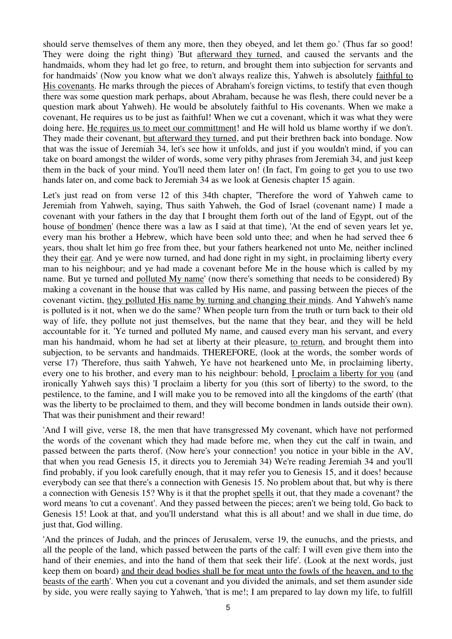should serve themselves of them any more, then they obeyed, and let them go.' (Thus far so good! They were doing the right thing) 'But afterward they turned, and caused the servants and the handmaids, whom they had let go free, to return, and brought them into subjection for servants and for handmaids' (Now you know what we don't always realize this, Yahweh is absolutely faithful to His covenants. He marks through the pieces of Abraham's foreign victims, to testify that even though there was some question mark perhaps, about Abraham, because he was flesh, there could never be a question mark about Yahweh). He would be absolutely faithful to His covenants. When we make a covenant, He requires us to be just as faithful! When we cut a covenant, which it was what they were doing here, He requires us to meet our committment! and He will hold us blame worthy if we don't. They made their covenant, but afterward they turned, and put their brethren back into bondage. Now that was the issue of Jeremiah 34, let's see how it unfolds, and just if you wouldn't mind, if you can take on board amongst the wilder of words, some very pithy phrases from Jeremiah 34, and just keep them in the back of your mind. You'll need them later on! (In fact, I'm going to get you to use two hands later on, and come back to Jeremiah 34 as we look at Genesis chapter 15 again.

Let's just read on from verse 12 of this 34th chapter, 'Therefore the word of Yahweh came to Jeremiah from Yahweh, saying, Thus saith Yahweh, the God of Israel (covenant name) I made a covenant with your fathers in the day that I brought them forth out of the land of Egypt, out of the house of bondmen' (hence there was a law as I said at that time), 'At the end of seven years let ye, every man his brother a Hebrew, which have been sold unto thee; and when he had served thee 6 years, thou shalt let him go free from thee, but your fathers hearkened not unto Me, neither inclined they their ear. And ye were now turned, and had done right in my sight, in proclaiming liberty every man to his neighbour; and ye had made a covenant before Me in the house which is called by my name. But ye turned and polluted My name' (now there's something that needs to be considered) By making a covenant in the house that was called by His name, and passing between the pieces of the covenant victim, they polluted His name by turning and changing their minds. And Yahweh's name is polluted is it not, when we do the same? When people turn from the truth or turn back to their old way of life, they pollute not just themselves, but the name that they bear, and they will be held accountable for it. 'Ye turned and polluted My name, and caused every man his servant, and every man his handmaid, whom he had set at liberty at their pleasure, to return, and brought them into subjection, to be servants and handmaids. THEREFORE, (look at the words, the somber words of verse 17) 'Therefore, thus saith Yahweh, Ye have not hearkened unto Me, in proclaiming liberty, every one to his brother, and every man to his neighbour: behold, I proclaim a liberty for you (and ironically Yahweh says this) 'I proclaim a liberty for you (this sort of liberty) to the sword, to the pestilence, to the famine, and I will make you to be removed into all the kingdoms of the earth' (that was the liberty to be proclaimed to them, and they will become bondmen in lands outside their own). That was their punishment and their reward!

'And I will give, verse 18, the men that have transgressed My covenant, which have not performed the words of the covenant which they had made before me, when they cut the calf in twain, and passed between the parts therof. (Now here's your connection! you notice in your bible in the AV, that when you read Genesis 15, it directs you to Jeremiah 34) We're reading Jeremiah 34 and you'll find probably, if you look carefully enough, that it may refer you to Genesis 15, and it does! because everybody can see that there's a connection with Genesis 15. No problem about that, but why is there a connection with Genesis 15? Why is it that the prophet spells it out, that they made a covenant? the word means 'to cut a covenant'. And they passed between the pieces; aren't we being told, Go back to Genesis 15! Look at that, and you'll understand what this is all about! and we shall in due time, do just that, God willing.

'And the princes of Judah, and the princes of Jerusalem, verse 19, the eunuchs, and the priests, and all the people of the land, which passed between the parts of the calf: I will even give them into the hand of their enemies, and into the hand of them that seek their life'. (Look at the next words, just keep them on board) and their dead bodies shall be for meat unto the fowls of the heaven, and to the beasts of the earth'. When you cut a covenant and you divided the animals, and set them asunder side by side, you were really saying to Yahweh, 'that is me!; I am prepared to lay down my life, to fulfill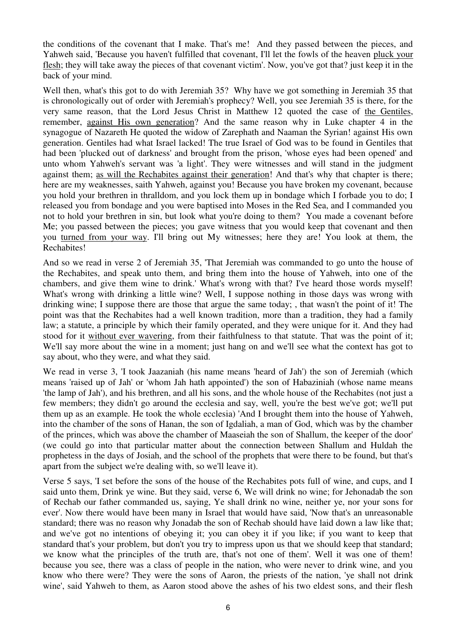the conditions of the covenant that I make. That's me! And they passed between the pieces, and Yahweh said, 'Because you haven't fulfilled that covenant, I'll let the fowls of the heaven pluck your flesh; they will take away the pieces of that covenant victim'. Now, you've got that? just keep it in the back of your mind.

Well then, what's this got to do with Jeremiah 35? Why have we got something in Jeremiah 35 that is chronologically out of order with Jeremiah's prophecy? Well, you see Jeremiah 35 is there, for the very same reason, that the Lord Jesus Christ in Matthew 12 quoted the case of the Gentiles, remember, against His own generation? And the same reason why in Luke chapter 4 in the synagogue of Nazareth He quoted the widow of Zarephath and Naaman the Syrian! against His own generation. Gentiles had what Israel lacked! The true Israel of God was to be found in Gentiles that had been 'plucked out of darkness' and brought from the prison, 'whose eyes had been opened' and unto whom Yahweh's servant was 'a light'. They were witnesses and will stand in the judgment against them; as will the Rechabites against their generation! And that's why that chapter is there; here are my weaknesses, saith Yahweh, against you! Because you have broken my covenant, because you hold your brethren in thralldom, and you lock them up in bondage which I forbade you to do; I released you from bondage and you were baptised into Moses in the Red Sea, and I commanded you not to hold your brethren in sin, but look what you're doing to them? You made a covenant before Me; you passed between the pieces; you gave witness that you would keep that covenant and then you turned from your way. I'll bring out My witnesses; here they are! You look at them, the Rechabites!

And so we read in verse 2 of Jeremiah 35, 'That Jeremiah was commanded to go unto the house of the Rechabites, and speak unto them, and bring them into the house of Yahweh, into one of the chambers, and give them wine to drink.' What's wrong with that? I've heard those words myself! What's wrong with drinking a little wine? Well, I suppose nothing in those days was wrong with drinking wine; I suppose there are those that argue the same today; , that wasn't the point of it! The point was that the Rechabites had a well known tradition, more than a tradition, they had a family law; a statute, a principle by which their family operated, and they were unique for it. And they had stood for it without ever wavering, from their faithfulness to that statute. That was the point of it; We'll say more about the wine in a moment; just hang on and we'll see what the context has got to say about, who they were, and what they said.

We read in verse 3, 'I took Jaazaniah (his name means 'heard of Jah') the son of Jeremiah (which means 'raised up of Jah' or 'whom Jah hath appointed') the son of Habaziniah (whose name means 'the lamp of Jah'), and his brethren, and all his sons, and the whole house of the Rechabites (not just a few members; they didn't go around the ecclesia and say, well, you're the best we've got; we'll put them up as an example. He took the whole ecclesia) 'And I brought them into the house of Yahweh, into the chamber of the sons of Hanan, the son of Igdaliah, a man of God, which was by the chamber of the princes, which was above the chamber of Maaseiah the son of Shallum, the keeper of the door' (we could go into that particular matter about the connection between Shallum and Huldah the prophetess in the days of Josiah, and the school of the prophets that were there to be found, but that's apart from the subject we're dealing with, so we'll leave it).

Verse 5 says, 'I set before the sons of the house of the Rechabites pots full of wine, and cups, and I said unto them, Drink ye wine. But they said, verse 6, We will drink no wine; for Jehonadab the son of Rechab our father commanded us, saying, Ye shall drink no wine, neither ye, nor your sons for ever'. Now there would have been many in Israel that would have said, 'Now that's an unreasonable standard; there was no reason why Jonadab the son of Rechab should have laid down a law like that; and we've got no intentions of obeying it; you can obey it if you like; if you want to keep that standard that's your problem, but don't you try to impress upon us that we should keep that standard; we know what the principles of the truth are, that's not one of them'. Well it was one of them! because you see, there was a class of people in the nation, who were never to drink wine, and you know who there were? They were the sons of Aaron, the priests of the nation, 'ye shall not drink wine', said Yahweh to them, as Aaron stood above the ashes of his two eldest sons, and their flesh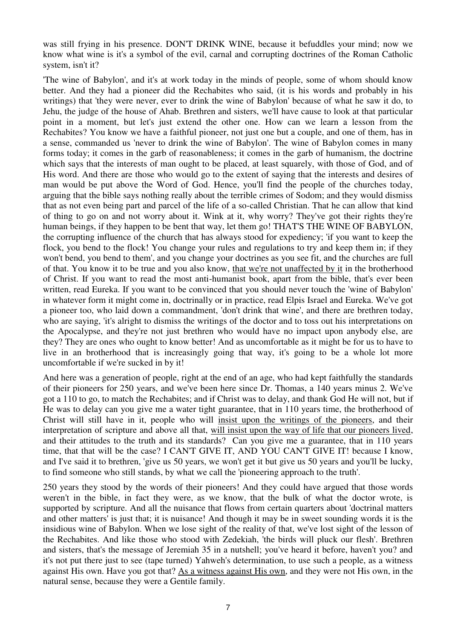was still frying in his presence. DON'T DRINK WINE, because it befuddles your mind; now we know what wine is it's a symbol of the evil, carnal and corrupting doctrines of the Roman Catholic system, isn't it?

'The wine of Babylon', and it's at work today in the minds of people, some of whom should know better. And they had a pioneer did the Rechabites who said, (it is his words and probably in his writings) that 'they were never, ever to drink the wine of Babylon' because of what he saw it do, to Jehu, the judge of the house of Ahab. Brethren and sisters, we'll have cause to look at that particular point in a moment, but let's just extend the other one. How can we learn a lesson from the Rechabites? You know we have a faithful pioneer, not just one but a couple, and one of them, has in a sense, commanded us 'never to drink the wine of Babylon'. The wine of Babylon comes in many forms today; it comes in the garb of reasonableness; it comes in the garb of humanism, the doctrine which says that the interests of man ought to be placed, at least squarely, with those of God, and of His word. And there are those who would go to the extent of saying that the interests and desires of man would be put above the Word of God. Hence, you'll find the people of the churches today, arguing that the bible says nothing really about the terrible crimes of Sodom; and they would dismiss that as not even being part and parcel of the life of a so-called Christian. That he can allow that kind of thing to go on and not worry about it. Wink at it, why worry? They've got their rights they're human beings, if they happen to be bent that way, let them go! THAT'S THE WINE OF BABYLON, the corrupting influence of the church that has always stood for expediency; 'if you want to keep the flock, you bend to the flock! You change your rules and regulations to try and keep them in; if they won't bend, you bend to them', and you change your doctrines as you see fit, and the churches are full of that. You know it to be true and you also know, that we're not unaffected by it in the brotherhood of Christ. If you want to read the most anti-humanist book, apart from the bible, that's ever been written, read Eureka. If you want to be convinced that you should never touch the 'wine of Babylon' in whatever form it might come in, doctrinally or in practice, read Elpis Israel and Eureka. We've got a pioneer too, who laid down a commandment, 'don't drink that wine', and there are brethren today, who are saying, 'it's alright to dismiss the writings of the doctor and to toss out his interpretations on the Apocalypse, and they're not just brethren who would have no impact upon anybody else, are they? They are ones who ought to know better! And as uncomfortable as it might be for us to have to live in an brotherhood that is increasingly going that way, it's going to be a whole lot more uncomfortable if we're sucked in by it!

And here was a generation of people, right at the end of an age, who had kept faithfully the standards of their pioneers for 250 years, and we've been here since Dr. Thomas, a 140 years minus 2. We've got a 110 to go, to match the Rechabites; and if Christ was to delay, and thank God He will not, but if He was to delay can you give me a water tight guarantee, that in 110 years time, the brotherhood of Christ will still have in it, people who will insist upon the writings of the pioneers, and their interpretation of scripture and above all that, will insist upon the way of life that our pioneers lived, and their attitudes to the truth and its standards? Can you give me a guarantee, that in 110 years time, that that will be the case? I CAN'T GIVE IT, AND YOU CAN'T GIVE IT! because I know, and I've said it to brethren, 'give us 50 years, we won't get it but give us 50 years and you'll be lucky, to find someone who still stands, by what we call the 'pioneering approach to the truth'.

250 years they stood by the words of their pioneers! And they could have argued that those words weren't in the bible, in fact they were, as we know, that the bulk of what the doctor wrote, is supported by scripture. And all the nuisance that flows from certain quarters about 'doctrinal matters and other matters' is just that; it is nuisance! And though it may be in sweet sounding words it is the insidious wine of Babylon. When we lose sight of the reality of that, we've lost sight of the lesson of the Rechabites. And like those who stood with Zedekiah, 'the birds will pluck our flesh'. Brethren and sisters, that's the message of Jeremiah 35 in a nutshell; you've heard it before, haven't you? and it's not put there just to see (tape turned) Yahweh's determination, to use such a people, as a witness against His own. Have you got that? As a witness against His own, and they were not His own, in the natural sense, because they were a Gentile family.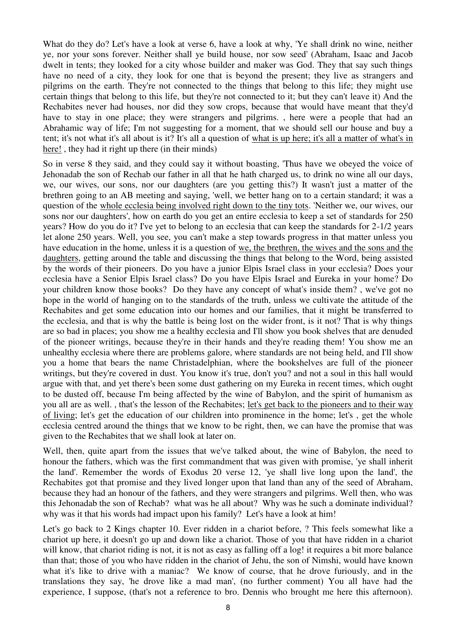What do they do? Let's have a look at verse 6, have a look at why, 'Ye shall drink no wine, neither ye, nor your sons forever. Neither shall ye build house, nor sow seed' (Abraham, Isaac and Jacob dwelt in tents; they looked for a city whose builder and maker was God. They that say such things have no need of a city, they look for one that is beyond the present; they live as strangers and pilgrims on the earth. They're not connected to the things that belong to this life; they might use certain things that belong to this life, but they're not connected to it; but they can't leave it) And the Rechabites never had houses, nor did they sow crops, because that would have meant that they'd have to stay in one place; they were strangers and pilgrims. , here were a people that had an Abrahamic way of life; I'm not suggesting for a moment, that we should sell our house and buy a tent; it's not what it's all about is it? It's all a question of what is up here; it's all a matter of what's in here!, they had it right up there (in their minds)

So in verse 8 they said, and they could say it without boasting, 'Thus have we obeyed the voice of Jehonadab the son of Rechab our father in all that he hath charged us, to drink no wine all our days, we, our wives, our sons, nor our daughters (are you getting this?) It wasn't just a matter of the brethren going to an AB meeting and saying, 'well, we better hang on to a certain standard; it was a question of the whole ecclesia being involved right down to the tiny tots. 'Neither we, our wives, our sons nor our daughters', how on earth do you get an entire ecclesia to keep a set of standards for 250 years? How do you do it? I've yet to belong to an ecclesia that can keep the standards for 2-1/2 years let alone 250 years. Well, you see, you can't make a step towards progress in that matter unless you have education in the home, unless it is a question of we, the brethren, the wives and the sons and the daughters, getting around the table and discussing the things that belong to the Word, being assisted by the words of their pioneers. Do you have a junior Elpis Israel class in your ecclesia? Does your ecclesia have a Senior Elpis Israel class? Do you have Elpis Israel and Eureka in your home? Do your children know those books? Do they have any concept of what's inside them? , we've got no hope in the world of hanging on to the standards of the truth, unless we cultivate the attitude of the Rechabites and get some education into our homes and our families, that it might be transferred to the ecclesia, and that is why the battle is being lost on the wider front, is it not? That is why things are so bad in places; you show me a healthy ecclesia and I'll show you book shelves that are denuded of the pioneer writings, because they're in their hands and they're reading them! You show me an unhealthy ecclesia where there are problems galore, where standards are not being held, and I'll show you a home that bears the name Christadelphian, where the bookshelves are full of the pioneer writings, but they're covered in dust. You know it's true, don't you? and not a soul in this hall would argue with that, and yet there's been some dust gathering on my Eureka in recent times, which ought to be dusted off, because I'm being affected by the wine of Babylon, and the spirit of humanism as you all are as well. , that's the lesson of the Rechabites; let's get back to the pioneers and to their way of living; let's get the education of our children into prominence in the home; let's , get the whole ecclesia centred around the things that we know to be right, then, we can have the promise that was given to the Rechabites that we shall look at later on.

Well, then, quite apart from the issues that we've talked about, the wine of Babylon, the need to honour the fathers, which was the first commandment that was given with promise, 'ye shall inherit the land'. Remember the words of Exodus 20 verse 12, 'ye shall live long upon the land', the Rechabites got that promise and they lived longer upon that land than any of the seed of Abraham, because they had an honour of the fathers, and they were strangers and pilgrims. Well then, who was this Jehonadab the son of Rechab? what was he all about? Why was he such a dominate individual? why was it that his words had impact upon his family? Let's have a look at him!

Let's go back to 2 Kings chapter 10. Ever ridden in a chariot before, ? This feels somewhat like a chariot up here, it doesn't go up and down like a chariot. Those of you that have ridden in a chariot will know, that chariot riding is not, it is not as easy as falling off a log! it requires a bit more balance than that; those of you who have ridden in the chariot of Jehu, the son of Nimshi, would have known what it's like to drive with a maniac? We know of course, that he drove furiously, and in the translations they say, 'he drove like a mad man', (no further comment) You all have had the experience, I suppose, (that's not a reference to bro. Dennis who brought me here this afternoon).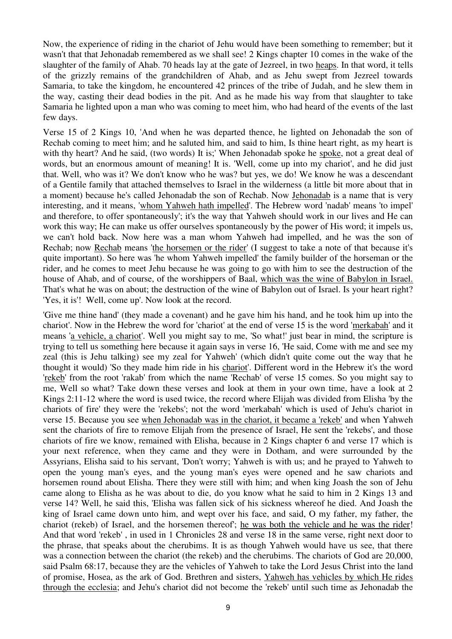Now, the experience of riding in the chariot of Jehu would have been something to remember; but it wasn't that that Jehonadab remembered as we shall see! 2 Kings chapter 10 comes in the wake of the slaughter of the family of Ahab. 70 heads lay at the gate of Jezreel, in two heaps. In that word, it tells of the grizzly remains of the grandchildren of Ahab, and as Jehu swept from Jezreel towards Samaria, to take the kingdom, he encountered 42 princes of the tribe of Judah, and he slew them in the way, casting their dead bodies in the pit. And as he made his way from that slaughter to take Samaria he lighted upon a man who was coming to meet him, who had heard of the events of the last few days.

Verse 15 of 2 Kings 10, 'And when he was departed thence, he lighted on Jehonadab the son of Rechab coming to meet him; and he saluted him, and said to him, Is thine heart right, as my heart is with thy heart? And he said, (two words) It is;' When Jehonadab spoke he spoke, not a great deal of words, but an enormous amount of meaning! It is. 'Well, come up into my chariot', and he did just that. Well, who was it? We don't know who he was? but yes, we do! We know he was a descendant of a Gentile family that attached themselves to Israel in the wilderness (a little bit more about that in a moment) because he's called Jehonadab the son of Rechab. Now Jehonadab is a name that is very interesting, and it means, 'whom Yahweh hath impelled'. The Hebrew word 'nadab' means 'to impel' and therefore, to offer spontaneously'; it's the way that Yahweh should work in our lives and He can work this way; He can make us offer ourselves spontaneously by the power of His word; it impels us, we can't hold back. Now here was a man whom Yahweh had impelled, and he was the son of Rechab; now Rechab means 'the horsemen or the rider' (I suggest to take a note of that because it's quite important). So here was 'he whom Yahweh impelled' the family builder of the horseman or the rider, and he comes to meet Jehu because he was going to go with him to see the destruction of the house of Ahab, and of course, of the worshippers of Baal, which was the wine of Babylon in Israel. That's what he was on about; the destruction of the wine of Babylon out of Israel. Is your heart right? 'Yes, it is'! Well, come up'. Now look at the record.

'Give me thine hand' (they made a covenant) and he gave him his hand, and he took him up into the chariot'. Now in the Hebrew the word for 'chariot' at the end of verse 15 is the word 'merkabah' and it means 'a vehicle, a chariot'. Well you might say to me, 'So what!' just bear in mind, the scripture is trying to tell us something here because it again says in verse 16, 'He said, Come with me and see my zeal (this is Jehu talking) see my zeal for Yahweh' (which didn't quite come out the way that he thought it would) 'So they made him ride in his chariot'. Different word in the Hebrew it's the word 'rekeb' from the root 'rakab' from which the name 'Rechab' of verse 15 comes. So you might say to me, Well so what? Take down these verses and look at them in your own time, have a look at 2 Kings 2:11-12 where the word is used twice, the record where Elijah was divided from Elisha 'by the chariots of fire' they were the 'rekebs'; not the word 'merkabah' which is used of Jehu's chariot in verse 15. Because you see when Jehonadab was in the chariot, it became a 'rekeb' and when Yahweh sent the chariots of fire to remove Elijah from the presence of Israel, He sent the 'rekebs', and those chariots of fire we know, remained with Elisha, because in 2 Kings chapter 6 and verse 17 which is your next reference, when they came and they were in Dotham, and were surrounded by the Assyrians, Elisha said to his servant, 'Don't worry; Yahweh is with us; and he prayed to Yahweh to open the young man's eyes, and the young man's eyes were opened and he saw chariots and horsemen round about Elisha. There they were still with him; and when king Joash the son of Jehu came along to Elisha as he was about to die, do you know what he said to him in 2 Kings 13 and verse 14? Well, he said this, 'Elisha was fallen sick of his sickness whereof he died. And Joash the king of Israel came down unto him, and wept over his face, and said, O my father, my father, the chariot (rekeb) of Israel, and the horsemen thereof'; he was both the vehicle and he was the rider! And that word 'rekeb' , in used in 1 Chronicles 28 and verse 18 in the same verse, right next door to the phrase, that speaks about the cherubims. It is as though Yahweh would have us see, that there was a connection between the chariot (the rekeb) and the cherubims. The chariots of God are 20,000, said Psalm 68:17, because they are the vehicles of Yahweh to take the Lord Jesus Christ into the land of promise, Hosea, as the ark of God. Brethren and sisters, Yahweh has vehicles by which He rides through the ecclesia; and Jehu's chariot did not become the 'rekeb' until such time as Jehonadab the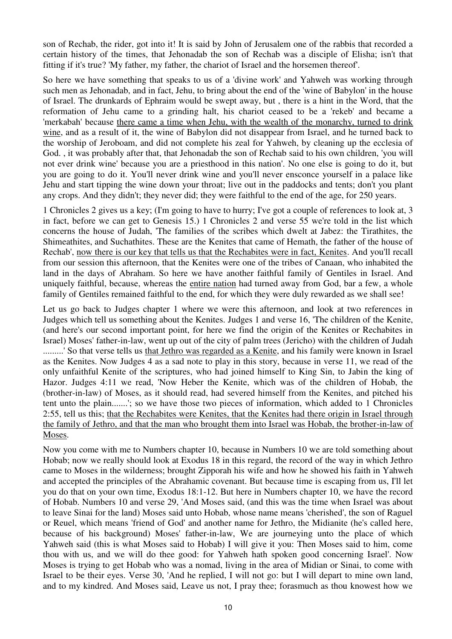son of Rechab, the rider, got into it! It is said by John of Jerusalem one of the rabbis that recorded a certain history of the times, that Jehonadab the son of Rechab was a disciple of Elisha; isn't that fitting if it's true? 'My father, my father, the chariot of Israel and the horsemen thereof'.

So here we have something that speaks to us of a 'divine work' and Yahweh was working through such men as Jehonadab, and in fact, Jehu, to bring about the end of the 'wine of Babylon' in the house of Israel. The drunkards of Ephraim would be swept away, but , there is a hint in the Word, that the reformation of Jehu came to a grinding halt, his chariot ceased to be a 'rekeb' and became a 'merkabah' because there came a time when Jehu, with the wealth of the monarchy, turned to drink wine, and as a result of it, the wine of Babylon did not disappear from Israel, and he turned back to the worship of Jeroboam, and did not complete his zeal for Yahweh, by cleaning up the ecclesia of God. , it was probably after that, that Jehonadab the son of Rechab said to his own children, 'you will not ever drink wine' because you are a priesthood in this nation'. No one else is going to do it, but you are going to do it. You'll never drink wine and you'll never ensconce yourself in a palace like Jehu and start tipping the wine down your throat; live out in the paddocks and tents; don't you plant any crops. And they didn't; they never did; they were faithful to the end of the age, for 250 years.

1 Chronicles 2 gives us a key; (I'm going to have to hurry; I've got a couple of references to look at, 3 in fact, before we can get to Genesis 15.) 1 Chronicles 2 and verse 55 we're told in the list which concerns the house of Judah, 'The families of the scribes which dwelt at Jabez: the Tirathites, the Shimeathites, and Suchathites. These are the Kenites that came of Hemath, the father of the house of Rechab', now there is our key that tells us that the Rechabites were in fact, Kenites. And you'll recall from our session this afternoon, that the Kenites were one of the tribes of Canaan, who inhabited the land in the days of Abraham. So here we have another faithful family of Gentiles in Israel. And uniquely faithful, because, whereas the entire nation had turned away from God, bar a few, a whole family of Gentiles remained faithful to the end, for which they were duly rewarded as we shall see!

Let us go back to Judges chapter 1 where we were this afternoon, and look at two references in Judges which tell us something about the Kenites. Judges 1 and verse 16, 'The children of the Kenite, (and here's our second important point, for here we find the origin of the Kenites or Rechabites in Israel) Moses' father-in-law, went up out of the city of palm trees (Jericho) with the children of Judah .........' So that verse tells us that Jethro was regarded as a Kenite, and his family were known in Israel as the Kenites. Now Judges 4 as a sad note to play in this story, because in verse 11, we read of the only unfaithful Kenite of the scriptures, who had joined himself to King Sin, to Jabin the king of Hazor. Judges 4:11 we read, 'Now Heber the Kenite, which was of the children of Hobab, the (brother-in-law) of Moses, as it should read, had severed himself from the Kenites, and pitched his tent unto the plain.......'; so we have those two pieces of information, which added to 1 Chronicles 2:55, tell us this; that the Rechabites were Kenites, that the Kenites had there origin in Israel through the family of Jethro, and that the man who brought them into Israel was Hobab, the brother-in-law of Moses.

Now you come with me to Numbers chapter 10, because in Numbers 10 we are told something about Hobab; now we really should look at Exodus 18 in this regard, the record of the way in which Jethro came to Moses in the wilderness; brought Zipporah his wife and how he showed his faith in Yahweh and accepted the principles of the Abrahamic covenant. But because time is escaping from us, I'll let you do that on your own time, Exodus 18:1-12. But here in Numbers chapter 10, we have the record of Hobab. Numbers 10 and verse 29, 'And Moses said, (and this was the time when Israel was about to leave Sinai for the land) Moses said unto Hobab, whose name means 'cherished', the son of Raguel or Reuel, which means 'friend of God' and another name for Jethro, the Midianite (he's called here, because of his background) Moses' father-in-law, We are journeying unto the place of which Yahweh said (this is what Moses said to Hobab) I will give it you: Then Moses said to him, come thou with us, and we will do thee good: for Yahweh hath spoken good concerning Israel'. Now Moses is trying to get Hobab who was a nomad, living in the area of Midian or Sinai, to come with Israel to be their eyes. Verse 30, 'And he replied, I will not go: but I will depart to mine own land, and to my kindred. And Moses said, Leave us not, I pray thee; forasmuch as thou knowest how we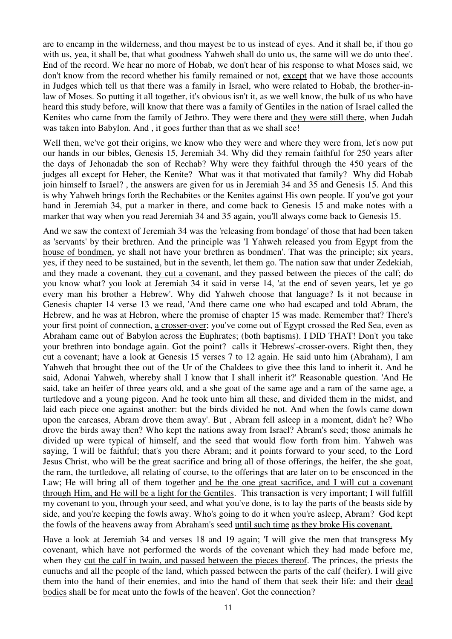are to encamp in the wilderness, and thou mayest be to us instead of eyes. And it shall be, if thou go with us, yea, it shall be, that what goodness Yahweh shall do unto us, the same will we do unto thee'. End of the record. We hear no more of Hobab, we don't hear of his response to what Moses said, we don't know from the record whether his family remained or not, except that we have those accounts in Judges which tell us that there was a family in Israel, who were related to Hobab, the brother-inlaw of Moses. So putting it all together, it's obvious isn't it, as we well know, the bulk of us who have heard this study before, will know that there was a family of Gentiles in the nation of Israel called the Kenites who came from the family of Jethro. They were there and they were still there, when Judah was taken into Babylon. And , it goes further than that as we shall see!

Well then, we've got their origins, we know who they were and where they were from, let's now put our hands in our bibles, Genesis 15, Jeremiah 34. Why did they remain faithful for 250 years after the days of Jehonadab the son of Rechab? Why were they faithful through the 450 years of the judges all except for Heber, the Kenite? What was it that motivated that family? Why did Hobab join himself to Israel? , the answers are given for us in Jeremiah 34 and 35 and Genesis 15. And this is why Yahweh brings forth the Rechabites or the Kenites against His own people. If you've got your hand in Jeremiah 34, put a marker in there, and come back to Genesis 15 and make notes with a marker that way when you read Jeremiah 34 and 35 again, you'll always come back to Genesis 15.

And we saw the context of Jeremiah 34 was the 'releasing from bondage' of those that had been taken as 'servants' by their brethren. And the principle was 'I Yahweh released you from Egypt from the house of bondmen, ye shall not have your brethren as bondmen'. That was the principle; six years, yes, if they need to be sustained, but in the seventh, let them go. The nation saw that under Zedekiah, and they made a covenant, they cut a covenant, and they passed between the pieces of the calf; do you know what? you look at Jeremiah 34 it said in verse 14, 'at the end of seven years, let ye go every man his brother a Hebrew'. Why did Yahweh choose that language? Is it not because in Genesis chapter 14 verse 13 we read, 'And there came one who had escaped and told Abram, the Hebrew, and he was at Hebron, where the promise of chapter 15 was made. Remember that? There's your first point of connection, a crosser-over; you've come out of Egypt crossed the Red Sea, even as Abraham came out of Babylon across the Euphrates; (both baptisms). I DID THAT! Don't you take your brethren into bondage again. Got the point? calls it 'Hebrews'-crosser-overs. Right then, they cut a covenant; have a look at Genesis 15 verses 7 to 12 again. He said unto him (Abraham), I am Yahweh that brought thee out of the Ur of the Chaldees to give thee this land to inherit it. And he said, Adonai Yahweh, whereby shall I know that I shall inherit it?' Reasonable question. 'And He said, take an heifer of three years old, and a she goat of the same age and a ram of the same age, a turtledove and a young pigeon. And he took unto him all these, and divided them in the midst, and laid each piece one against another: but the birds divided he not. And when the fowls came down upon the carcases, Abram drove them away'. But , Abram fell asleep in a moment, didn't he? Who drove the birds away then? Who kept the nations away from Israel? Abram's seed; those animals he divided up were typical of himself, and the seed that would flow forth from him. Yahweh was saying, 'I will be faithful; that's you there Abram; and it points forward to your seed, to the Lord Jesus Christ, who will be the great sacrifice and bring all of those offerings, the heifer, the she goat, the ram, the turtledove, all relating of course, to the offerings that are later on to be ensconced in the Law; He will bring all of them together and be the one great sacrifice, and I will cut a covenant through Him, and He will be a light for the Gentiles. This transaction is very important; I will fulfill my covenant to you, through your seed, and what you've done, is to lay the parts of the beasts side by side, and you're keeping the fowls away. Who's going to do it when you're asleep, Abram? God kept the fowls of the heavens away from Abraham's seed until such time as they broke His covenant.

Have a look at Jeremiah 34 and verses 18 and 19 again; 'I will give the men that transgress My covenant, which have not performed the words of the covenant which they had made before me, when they cut the calf in twain, and passed between the pieces thereof. The princes, the priests the eunuchs and all the people of the land, which passed between the parts of the calf (heifer). I will give them into the hand of their enemies, and into the hand of them that seek their life: and their dead bodies shall be for meat unto the fowls of the heaven'. Got the connection?